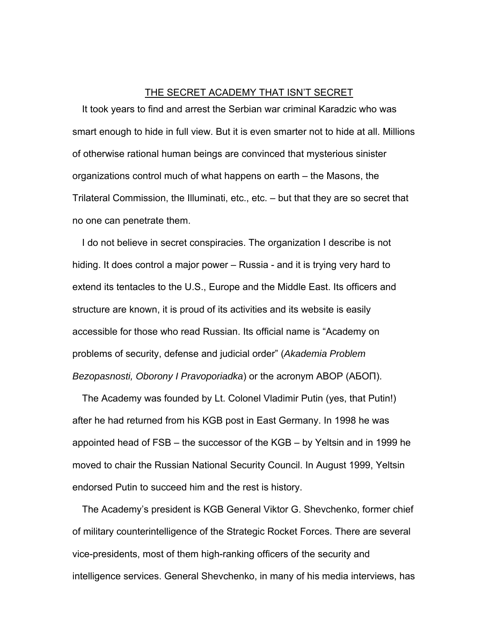## THE SECRET ACADEMY THAT ISN'T SECRET

It took years to find and arrest the Serbian war criminal Karadzic who was smart enough to hide in full view. But it is even smarter not to hide at all. Millions of otherwise rational human beings are convinced that mysterious sinister organizations control much of what happens on earth – the Masons, the Trilateral Commission, the Illuminati, etc., etc. – but that they are so secret that no one can penetrate them.

I do not believe in secret conspiracies. The organization I describe is not hiding. It does control a major power – Russia - and it is trying very hard to extend its tentacles to the U.S., Europe and the Middle East. Its officers and structure are known, it is proud of its activities and its website is easily accessible for those who read Russian. Its official name is "Academy on problems of security, defense and judicial order" (*Akademia Problem Bezopasnosti, Oborony I Pravoporiadka*) or the acronym ABOP (АБОП).

The Academy was founded by Lt. Colonel Vladimir Putin (yes, that Putin!) after he had returned from his KGB post in East Germany. In 1998 he was appointed head of FSB – the successor of the KGB – by Yeltsin and in 1999 he moved to chair the Russian National Security Council. In August 1999, Yeltsin endorsed Putin to succeed him and the rest is history.

The Academy's president is KGB General Viktor G. Shevchenko, former chief of military counterintelligence of the Strategic Rocket Forces. There are several vice-presidents, most of them high-ranking officers of the security and intelligence services. General Shevchenko, in many of his media interviews, has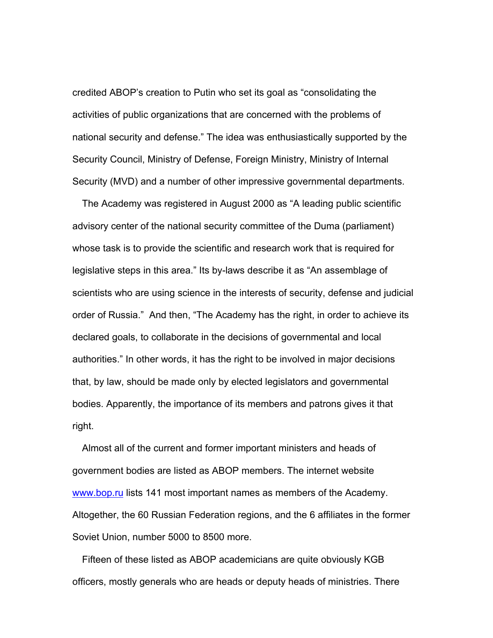credited ABOP's creation to Putin who set its goal as "consolidating the activities of public organizations that are concerned with the problems of national security and defense." The idea was enthusiastically supported by the Security Council, Ministry of Defense, Foreign Ministry, Ministry of Internal Security (MVD) and a number of other impressive governmental departments.

The Academy was registered in August 2000 as "A leading public scientific advisory center of the national security committee of the Duma (parliament) whose task is to provide the scientific and research work that is required for legislative steps in this area." Its by-laws describe it as "An assemblage of scientists who are using science in the interests of security, defense and judicial order of Russia." And then, "The Academy has the right, in order to achieve its declared goals, to collaborate in the decisions of governmental and local authorities." In other words, it has the right to be involved in major decisions that, by law, should be made only by elected legislators and governmental bodies. Apparently, the importance of its members and patrons gives it that right.

Almost all of the current and former important ministers and heads of government bodies are listed as ABOP members. The internet website www.bop.ru lists 141 most important names as members of the Academy. Altogether, the 60 Russian Federation regions, and the 6 affiliates in the former Soviet Union, number 5000 to 8500 more.

Fifteen of these listed as ABOP academicians are quite obviously KGB officers, mostly generals who are heads or deputy heads of ministries. There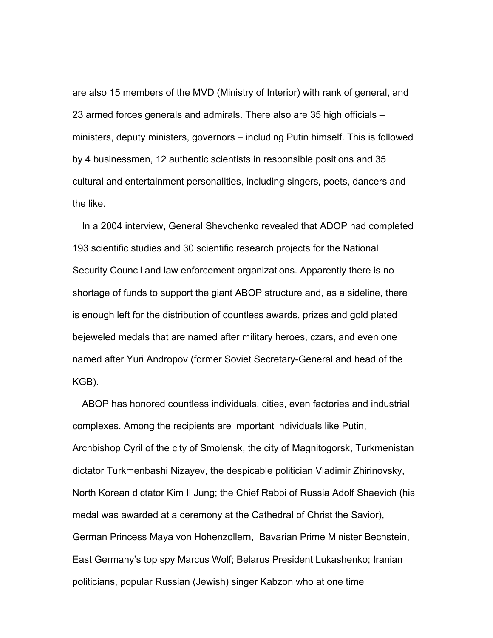are also 15 members of the MVD (Ministry of Interior) with rank of general, and 23 armed forces generals and admirals. There also are 35 high officials – ministers, deputy ministers, governors – including Putin himself. This is followed by 4 businessmen, 12 authentic scientists in responsible positions and 35 cultural and entertainment personalities, including singers, poets, dancers and the like.

In a 2004 interview, General Shevchenko revealed that ADOP had completed 193 scientific studies and 30 scientific research projects for the National Security Council and law enforcement organizations. Apparently there is no shortage of funds to support the giant ABOP structure and, as a sideline, there is enough left for the distribution of countless awards, prizes and gold plated bejeweled medals that are named after military heroes, czars, and even one named after Yuri Andropov (former Soviet Secretary-General and head of the KGB).

ABOP has honored countless individuals, cities, even factories and industrial complexes. Among the recipients are important individuals like Putin, Archbishop Cyril of the city of Smolensk, the city of Magnitogorsk, Turkmenistan dictator Turkmenbashi Nizayev, the despicable politician Vladimir Zhirinovsky, North Korean dictator Kim Il Jung; the Chief Rabbi of Russia Adolf Shaevich (his medal was awarded at a ceremony at the Cathedral of Christ the Savior), German Princess Maya von Hohenzollern, Bavarian Prime Minister Bechstein, East Germany's top spy Marcus Wolf; Belarus President Lukashenko; Iranian politicians, popular Russian (Jewish) singer Kabzon who at one time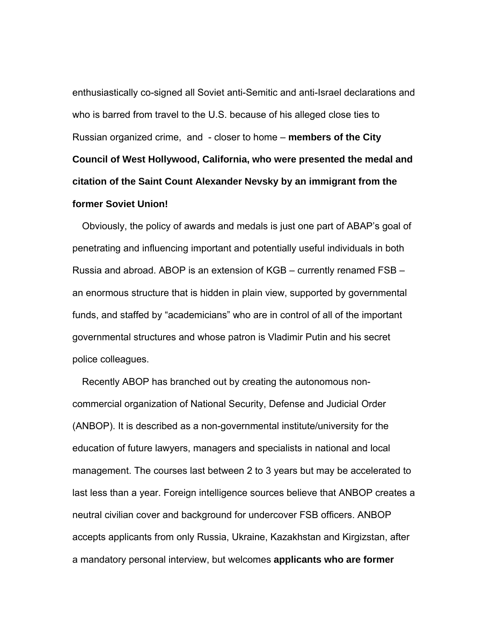enthusiastically co-signed all Soviet anti-Semitic and anti-Israel declarations and who is barred from travel to the U.S. because of his alleged close ties to Russian organized crime, and - closer to home – **members of the City Council of West Hollywood, California, who were presented the medal and citation of the Saint Count Alexander Nevsky by an immigrant from the former Soviet Union!** 

Obviously, the policy of awards and medals is just one part of ABAP's goal of penetrating and influencing important and potentially useful individuals in both Russia and abroad. ABOP is an extension of KGB – currently renamed FSB – an enormous structure that is hidden in plain view, supported by governmental funds, and staffed by "academicians" who are in control of all of the important governmental structures and whose patron is Vladimir Putin and his secret police colleagues.

Recently ABOP has branched out by creating the autonomous noncommercial organization of National Security, Defense and Judicial Order (ANBOP). It is described as a non-governmental institute/university for the education of future lawyers, managers and specialists in national and local management. The courses last between 2 to 3 years but may be accelerated to last less than a year. Foreign intelligence sources believe that ANBOP creates a neutral civilian cover and background for undercover FSB officers. ANBOP accepts applicants from only Russia, Ukraine, Kazakhstan and Kirgizstan, after a mandatory personal interview, but welcomes **applicants who are former**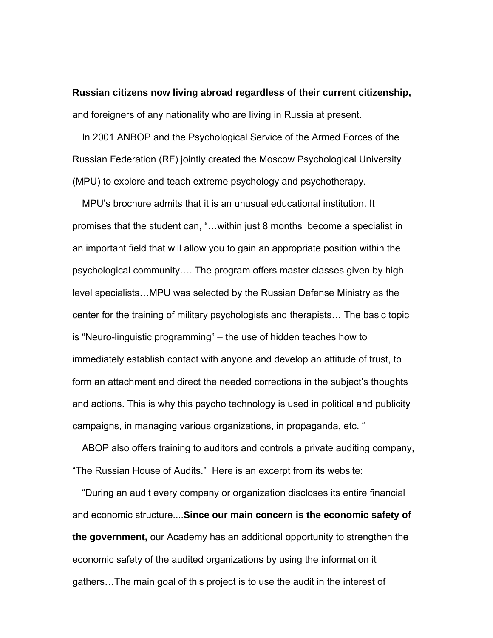**Russian citizens now living abroad regardless of their current citizenship,** and foreigners of any nationality who are living in Russia at present.

In 2001 ANBOP and the Psychological Service of the Armed Forces of the Russian Federation (RF) jointly created the Moscow Psychological University (MPU) to explore and teach extreme psychology and psychotherapy.

MPU's brochure admits that it is an unusual educational institution. It promises that the student can, "…within just 8 months become a specialist in an important field that will allow you to gain an appropriate position within the psychological community…. The program offers master classes given by high level specialists…MPU was selected by the Russian Defense Ministry as the center for the training of military psychologists and therapists… The basic topic is "Neuro-linguistic programming" – the use of hidden teaches how to immediately establish contact with anyone and develop an attitude of trust, to form an attachment and direct the needed corrections in the subject's thoughts and actions. This is why this psycho technology is used in political and publicity campaigns, in managing various organizations, in propaganda, etc. "

ABOP also offers training to auditors and controls a private auditing company, "The Russian House of Audits." Here is an excerpt from its website:

"During an audit every company or organization discloses its entire financial and economic structure....**Since our main concern is the economic safety of the government,** our Academy has an additional opportunity to strengthen the economic safety of the audited organizations by using the information it gathers…The main goal of this project is to use the audit in the interest of